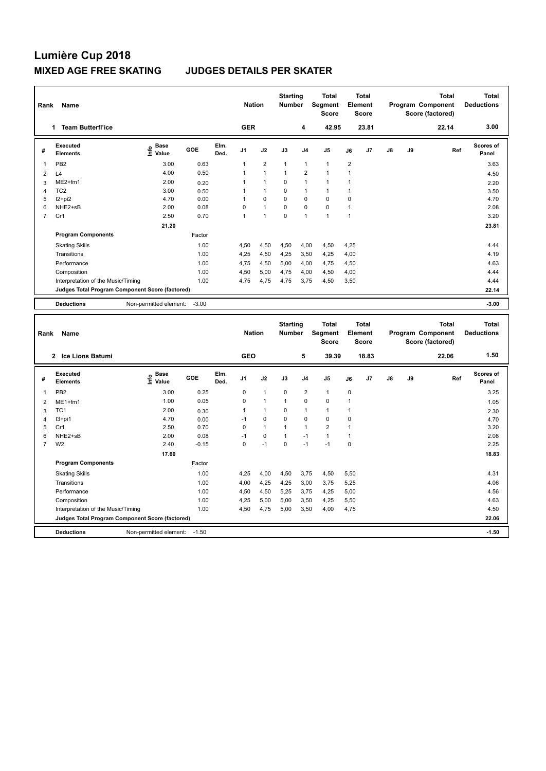| Rank           | <b>Name</b>                                     |                              |            |              | <b>Nation</b>  |                | <b>Starting</b><br><b>Number</b> |                | Total<br>Segment<br><b>Score</b> |                | Total<br>Element<br><b>Score</b> |               |    | Total<br>Program Component<br>Score (factored) | Total<br><b>Deductions</b> |
|----------------|-------------------------------------------------|------------------------------|------------|--------------|----------------|----------------|----------------------------------|----------------|----------------------------------|----------------|----------------------------------|---------------|----|------------------------------------------------|----------------------------|
|                | <b>Team Butterfl'ice</b><br>1                   |                              |            |              | <b>GER</b>     |                |                                  | 4              | 42.95                            |                | 23.81                            |               |    | 22.14                                          | 3.00                       |
| #              | Executed<br><b>Elements</b>                     | <b>Base</b><br>lnfo<br>Value | <b>GOE</b> | Elm.<br>Ded. | J <sub>1</sub> | J2             | J3                               | J <sub>4</sub> | J <sub>5</sub>                   | J6             | J7                               | $\mathsf{J}8$ | J9 | Ref                                            | <b>Scores of</b><br>Panel  |
| $\mathbf 1$    | PB <sub>2</sub>                                 | 3.00                         | 0.63       |              | 1              | $\overline{2}$ | $\mathbf{1}$                     | $\mathbf{1}$   | $\mathbf{1}$                     | $\overline{2}$ |                                  |               |    |                                                | 3.63                       |
| 2              | L4                                              | 4.00                         | 0.50       |              |                | $\overline{1}$ |                                  | $\overline{2}$ | $\blacktriangleleft$             |                |                                  |               |    |                                                | 4.50                       |
| 3              | $ME2+fm1$                                       | 2.00                         | 0.20       |              |                | 1              | 0                                | $\mathbf{1}$   | $\blacktriangleleft$             |                |                                  |               |    |                                                | 2.20                       |
| $\overline{4}$ | TC <sub>2</sub>                                 | 3.00                         | 0.50       |              |                | $\mathbf{1}$   | $\Omega$                         | $\mathbf{1}$   | 1                                |                |                                  |               |    |                                                | 3.50                       |
| 5              | $12+pi2$                                        | 4.70                         | 0.00       |              |                | $\mathbf 0$    | $\mathbf 0$                      | $\mathbf 0$    | $\Omega$                         | $\mathbf 0$    |                                  |               |    |                                                | 4.70                       |
| 6              | NHE2+sB                                         | 2.00                         | 0.08       |              | $\Omega$       | $\mathbf{1}$   | 0                                | $\mathbf 0$    | $\mathbf 0$                      | 1              |                                  |               |    |                                                | 2.08                       |
| $\overline{7}$ | Cr1                                             | 2.50                         | 0.70       |              | 1              | $\overline{1}$ | $\Omega$                         | $\mathbf{1}$   | $\mathbf{1}$                     | 1              |                                  |               |    |                                                | 3.20                       |
|                |                                                 | 21.20                        |            |              |                |                |                                  |                |                                  |                |                                  |               |    |                                                | 23.81                      |
|                | <b>Program Components</b>                       |                              | Factor     |              |                |                |                                  |                |                                  |                |                                  |               |    |                                                |                            |
|                | <b>Skating Skills</b>                           |                              | 1.00       |              | 4,50           | 4,50           | 4,50                             | 4,00           | 4,50                             | 4,25           |                                  |               |    |                                                | 4.44                       |
|                | Transitions                                     |                              | 1.00       |              | 4,25           | 4,50           | 4,25                             | 3,50           | 4,25                             | 4,00           |                                  |               |    |                                                | 4.19                       |
|                | Performance                                     |                              | 1.00       |              | 4.75           | 4,50           | 5,00                             | 4,00           | 4,75                             | 4,50           |                                  |               |    |                                                | 4.63                       |
|                | Composition                                     |                              | 1.00       |              | 4,50           | 5,00           | 4,75                             | 4,00           | 4,50                             | 4,00           |                                  |               |    |                                                | 4.44                       |
|                | Interpretation of the Music/Timing              |                              | 1.00       |              | 4,75           | 4,75           | 4,75                             | 3,75           | 4,50                             | 3,50           |                                  |               |    |                                                | 4.44                       |
|                | Judges Total Program Component Score (factored) |                              |            |              |                |                |                                  |                |                                  |                |                                  |               |    |                                                | 22.14                      |
|                | <b>Deductions</b>                               | Non-permitted element:       | $-3.00$    |              |                |                |                                  |                |                                  |                |                                  |               |    |                                                | $-3.00$                    |

| Rank           | Name                                            |                              |         |              | <b>Nation</b>  |                | <b>Starting</b><br><b>Number</b> |                         | <b>Total</b><br>Segment<br><b>Score</b> | Element     | <b>Total</b><br><b>Score</b> |               |    | <b>Total</b><br>Program Component<br>Score (factored) | Total<br><b>Deductions</b> |
|----------------|-------------------------------------------------|------------------------------|---------|--------------|----------------|----------------|----------------------------------|-------------------------|-----------------------------------------|-------------|------------------------------|---------------|----|-------------------------------------------------------|----------------------------|
|                | Ice Lions Batumi<br>$\mathbf{2}$                |                              |         |              | <b>GEO</b>     |                |                                  | 5                       | 39.39                                   |             | 18.83                        |               |    | 22.06                                                 | 1.50                       |
| #              | Executed<br><b>Elements</b>                     | <b>Base</b><br>lnfo<br>Value | GOE     | Elm.<br>Ded. | J <sub>1</sub> | J2             | J3                               | J <sub>4</sub>          | J5                                      | J6          | J7                           | $\mathsf{J}8$ | J9 | Ref                                                   | <b>Scores of</b><br>Panel  |
| $\overline{1}$ | PB <sub>2</sub>                                 | 3.00                         | 0.25    |              | 0              | $\overline{1}$ | $\mathbf 0$                      | $\overline{\mathbf{c}}$ | $\mathbf{1}$                            | $\mathbf 0$ |                              |               |    |                                                       | 3.25                       |
| $\overline{2}$ | $ME1+fm1$                                       | 1.00                         | 0.05    |              | 0              | $\overline{1}$ | -1                               | $\mathbf 0$             | $\mathbf 0$                             | 1           |                              |               |    |                                                       | 1.05                       |
| 3              | TC <sub>1</sub>                                 | 2.00                         | 0.30    |              |                | $\overline{1}$ | 0                                | $\overline{1}$          | $\blacktriangleleft$                    | 1           |                              |               |    |                                                       | 2.30                       |
| 4              | $13+pi1$                                        | 4.70                         | 0.00    |              | $-1$           | 0              | $\mathbf 0$                      | $\mathbf 0$             | $\mathbf 0$                             | 0           |                              |               |    |                                                       | 4.70                       |
| 5              | Cr1                                             | 2.50                         | 0.70    |              | 0              | $\mathbf{1}$   | 1                                | $\mathbf{1}$            | $\overline{2}$                          |             |                              |               |    |                                                       | 3.20                       |
| 6              | NHE2+sB                                         | 2.00                         | 0.08    |              | $-1$           | 0              | 1                                | $-1$                    | $\mathbf{1}$                            | 1           |                              |               |    |                                                       | 2.08                       |
| $\overline{7}$ | W <sub>2</sub>                                  | 2.40                         | $-0.15$ |              | 0              | $-1$           | $\mathbf 0$                      | $-1$                    | $-1$                                    | 0           |                              |               |    |                                                       | 2.25                       |
|                |                                                 | 17.60                        |         |              |                |                |                                  |                         |                                         |             |                              |               |    |                                                       | 18.83                      |
|                | <b>Program Components</b>                       |                              | Factor  |              |                |                |                                  |                         |                                         |             |                              |               |    |                                                       |                            |
|                | <b>Skating Skills</b>                           |                              | 1.00    |              | 4,25           | 4,00           | 4,50                             | 3,75                    | 4,50                                    | 5,50        |                              |               |    |                                                       | 4.31                       |
|                | Transitions                                     |                              | 1.00    |              | 4,00           | 4,25           | 4,25                             | 3,00                    | 3,75                                    | 5,25        |                              |               |    |                                                       | 4.06                       |
|                | Performance                                     |                              | 1.00    |              | 4,50           | 4,50           | 5,25                             | 3,75                    | 4,25                                    | 5,00        |                              |               |    |                                                       | 4.56                       |
|                | Composition                                     |                              | 1.00    |              | 4,25           | 5,00           | 5,00                             | 3,50                    | 4,25                                    | 5,50        |                              |               |    |                                                       | 4.63                       |
|                | Interpretation of the Music/Timing              |                              | 1.00    |              | 4,50           | 4,75           | 5,00                             | 3,50                    | 4,00                                    | 4,75        |                              |               |    |                                                       | 4.50                       |
|                | Judges Total Program Component Score (factored) |                              |         |              |                |                |                                  |                         |                                         |             |                              |               |    |                                                       | 22.06                      |
|                | <b>Deductions</b>                               | Non-permitted element:       | $-1.50$ |              |                |                |                                  |                         |                                         |             |                              |               |    |                                                       | $-1.50$                    |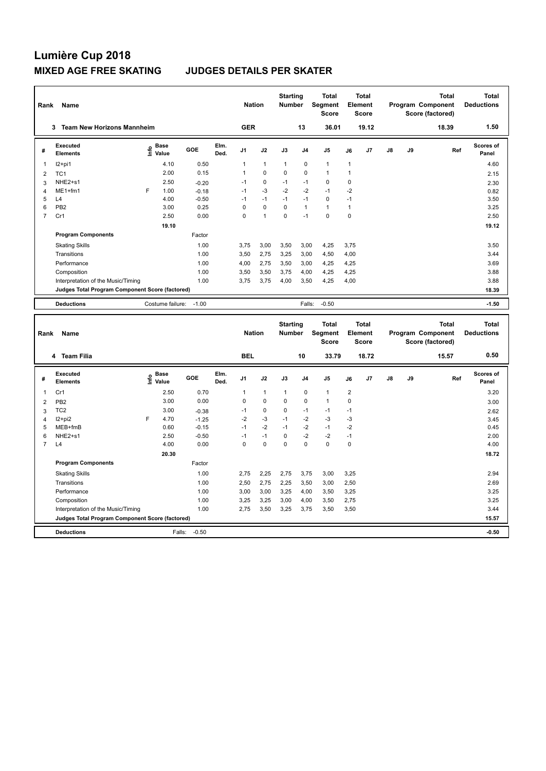| Rank           | Name                                            |      |                      |         |              | <b>Nation</b>  |                | <b>Starting</b><br><b>Number</b> |                | <b>Total</b><br>Segment<br><b>Score</b> |              | Total<br>Element<br><b>Score</b> |               |    | <b>Total</b><br>Program Component<br>Score (factored) | Total<br><b>Deductions</b> |
|----------------|-------------------------------------------------|------|----------------------|---------|--------------|----------------|----------------|----------------------------------|----------------|-----------------------------------------|--------------|----------------------------------|---------------|----|-------------------------------------------------------|----------------------------|
|                | <b>Team New Horizons Mannheim</b><br>3          |      |                      |         |              | <b>GER</b>     |                |                                  | 13             | 36.01                                   |              | 19.12                            |               |    | 18.39                                                 | 1.50                       |
| #              | Executed<br><b>Elements</b>                     | lnfo | <b>Base</b><br>Value | GOE     | Elm.<br>Ded. | J <sub>1</sub> | J2             | J3                               | J <sub>4</sub> | J <sub>5</sub>                          | J6           | J7                               | $\mathsf{J}8$ | J9 | Ref                                                   | Scores of<br>Panel         |
| 1              | $12+pi1$                                        |      | 4.10                 | 0.50    |              | 1              | $\mathbf{1}$   | $\overline{1}$                   | $\mathbf 0$    | $\mathbf{1}$                            | $\mathbf{1}$ |                                  |               |    |                                                       | 4.60                       |
| $\overline{2}$ | TC <sub>1</sub>                                 |      | 2.00                 | 0.15    |              | 1              | 0              | $\Omega$                         | $\mathbf 0$    | $\blacktriangleleft$                    | 1            |                                  |               |    |                                                       | 2.15                       |
| 3              | NHE2+s1                                         |      | 2.50                 | $-0.20$ |              | $-1$           | 0              | $-1$                             | $-1$           | 0                                       | 0            |                                  |               |    |                                                       | 2.30                       |
| 4              | $ME1+fm1$                                       | F    | 1.00                 | $-0.18$ |              | $-1$           | $-3$           | $-2$                             | $-2$           | $-1$                                    | $-2$         |                                  |               |    |                                                       | 0.82                       |
| 5              | L <sub>4</sub>                                  |      | 4.00                 | $-0.50$ |              | $-1$           | $-1$           | $-1$                             | $-1$           | 0                                       | $-1$         |                                  |               |    |                                                       | 3.50                       |
| 6              | PB <sub>2</sub>                                 |      | 3.00                 | 0.25    |              | 0              | $\mathbf 0$    | $\Omega$                         | $\mathbf{1}$   | $\mathbf{1}$                            | 1            |                                  |               |    |                                                       | 3.25                       |
| $\overline{7}$ | Cr1                                             |      | 2.50                 | 0.00    |              | 0              | $\overline{1}$ | $\Omega$                         | $-1$           | $\Omega$                                | $\Omega$     |                                  |               |    |                                                       | 2.50                       |
|                |                                                 |      | 19.10                |         |              |                |                |                                  |                |                                         |              |                                  |               |    |                                                       | 19.12                      |
|                | <b>Program Components</b>                       |      |                      | Factor  |              |                |                |                                  |                |                                         |              |                                  |               |    |                                                       |                            |
|                | <b>Skating Skills</b>                           |      |                      | 1.00    |              | 3.75           | 3,00           | 3,50                             | 3,00           | 4,25                                    | 3.75         |                                  |               |    |                                                       | 3.50                       |
|                | Transitions                                     |      |                      | 1.00    |              | 3.50           | 2.75           | 3,25                             | 3,00           | 4,50                                    | 4,00         |                                  |               |    |                                                       | 3.44                       |
|                | Performance                                     |      |                      | 1.00    |              | 4,00           | 2,75           | 3,50                             | 3,00           | 4,25                                    | 4,25         |                                  |               |    |                                                       | 3.69                       |
|                | Composition                                     |      |                      | 1.00    |              | 3.50           | 3.50           | 3.75                             | 4.00           | 4,25                                    | 4,25         |                                  |               |    |                                                       | 3.88                       |
|                | Interpretation of the Music/Timing              |      |                      | 1.00    |              | 3.75           | 3,75           | 4,00                             | 3,50           | 4,25                                    | 4,00         |                                  |               |    |                                                       | 3.88                       |
|                | Judges Total Program Component Score (factored) |      |                      |         |              |                |                |                                  |                |                                         |              |                                  |               |    |                                                       | 18.39                      |
|                | <b>Deductions</b>                               |      | Costume failure:     | $-1.00$ |              |                |                |                                  | Falls:         | $-0.50$                                 |              |                                  |               |    |                                                       | $-1.50$                    |

| Rank           | Name                                            |      |                      |         |              | <b>Nation</b>  |              | <b>Starting</b><br><b>Number</b> |                | <b>Total</b><br>Segment<br><b>Score</b> | Element                 | Total<br><b>Score</b> |               |    | <b>Total</b><br>Program Component<br>Score (factored) | Total<br><b>Deductions</b> |
|----------------|-------------------------------------------------|------|----------------------|---------|--------------|----------------|--------------|----------------------------------|----------------|-----------------------------------------|-------------------------|-----------------------|---------------|----|-------------------------------------------------------|----------------------------|
|                | 4 Team Filia                                    |      |                      |         |              | <b>BEL</b>     |              |                                  | 10             | 33.79                                   |                         | 18.72                 |               |    | 15.57                                                 | 0.50                       |
| #              | Executed<br><b>Elements</b>                     | lnfo | <b>Base</b><br>Value | GOE     | Elm.<br>Ded. | J <sub>1</sub> | J2           | J3                               | J <sub>4</sub> | J <sub>5</sub>                          | J6                      | J7                    | $\mathsf{J}8$ | J9 | Ref                                                   | <b>Scores of</b><br>Panel  |
| $\overline{1}$ | Cr1                                             |      | 2.50                 | 0.70    |              | 1              | $\mathbf{1}$ | 1                                | $\mathbf 0$    | $\mathbf{1}$                            | $\overline{\mathbf{c}}$ |                       |               |    |                                                       | 3.20                       |
| $\overline{2}$ | PB <sub>2</sub>                                 |      | 3.00                 | 0.00    |              | 0              | $\Omega$     | 0                                | $\mathbf 0$    | $\overline{1}$                          | 0                       |                       |               |    |                                                       | 3.00                       |
| 3              | TC <sub>2</sub>                                 |      | 3.00                 | $-0.38$ |              | $-1$           | $\mathbf 0$  | $\mathbf 0$                      | $-1$           | $-1$                                    | $-1$                    |                       |               |    |                                                       | 2.62                       |
| 4              | $12+pi2$                                        | E    | 4.70                 | $-1.25$ |              | $-2$           | $-3$         | $-1$                             | $-2$           | $-3$                                    | $-3$                    |                       |               |    |                                                       | 3.45                       |
| 5              | MEB+fmB                                         |      | 0.60                 | $-0.15$ |              | $-1$           | $-2$         | $-1$                             | $-2$           | $-1$                                    | $-2$                    |                       |               |    |                                                       | 0.45                       |
| 6              | NHE2+s1                                         |      | 2.50                 | $-0.50$ |              | $-1$           | $-1$         | $\Omega$                         | $-2$           | $-2$                                    | $-1$                    |                       |               |    |                                                       | 2.00                       |
| $\overline{7}$ | L4                                              |      | 4.00                 | 0.00    |              | 0              | $\mathbf 0$  | 0                                | $\mathbf 0$    | $\mathbf 0$                             | 0                       |                       |               |    |                                                       | 4.00                       |
|                |                                                 |      | 20.30                |         |              |                |              |                                  |                |                                         |                         |                       |               |    |                                                       | 18.72                      |
|                | <b>Program Components</b>                       |      |                      | Factor  |              |                |              |                                  |                |                                         |                         |                       |               |    |                                                       |                            |
|                | <b>Skating Skills</b>                           |      |                      | 1.00    |              | 2,75           | 2,25         | 2,75                             | 3,75           | 3,00                                    | 3,25                    |                       |               |    |                                                       | 2.94                       |
|                | Transitions                                     |      |                      | 1.00    |              | 2,50           | 2,75         | 2,25                             | 3,50           | 3,00                                    | 2,50                    |                       |               |    |                                                       | 2.69                       |
|                | Performance                                     |      |                      | 1.00    |              | 3,00           | 3,00         | 3,25                             | 4,00           | 3,50                                    | 3,25                    |                       |               |    |                                                       | 3.25                       |
|                | Composition                                     |      |                      | 1.00    |              | 3,25           | 3,25         | 3,00                             | 4,00           | 3,50                                    | 2,75                    |                       |               |    |                                                       | 3.25                       |
|                | Interpretation of the Music/Timing              |      |                      | 1.00    |              | 2,75           | 3,50         | 3,25                             | 3,75           | 3,50                                    | 3,50                    |                       |               |    |                                                       | 3.44                       |
|                | Judges Total Program Component Score (factored) |      |                      |         |              |                |              |                                  |                |                                         |                         |                       |               |    |                                                       | 15.57                      |
|                | <b>Deductions</b>                               |      | Falls:               | $-0.50$ |              |                |              |                                  |                |                                         |                         |                       |               |    |                                                       | $-0.50$                    |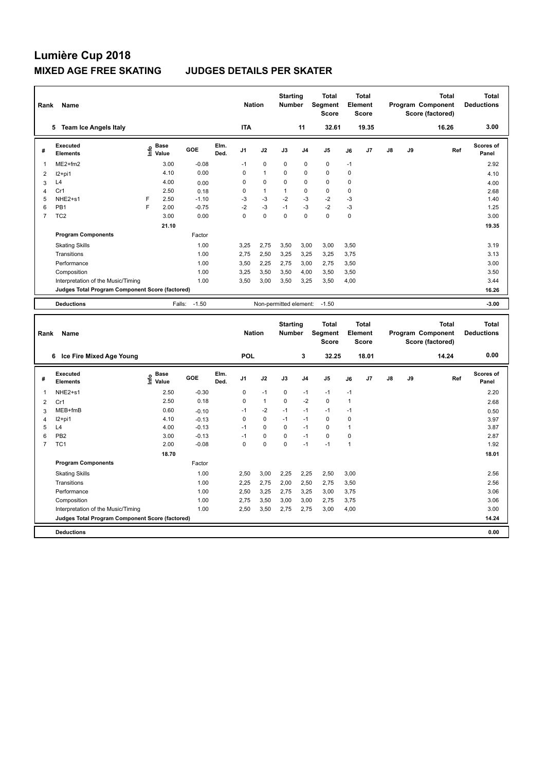| Rank | Name                                            |   |                                  |         |              | <b>Nation</b>  |              | <b>Starting</b><br><b>Number</b> |                | <b>Total</b><br>Segment<br><b>Score</b> | Element     | <b>Total</b><br><b>Score</b> |               |    | <b>Total</b><br>Program Component<br>Score (factored) | Total<br><b>Deductions</b> |
|------|-------------------------------------------------|---|----------------------------------|---------|--------------|----------------|--------------|----------------------------------|----------------|-----------------------------------------|-------------|------------------------------|---------------|----|-------------------------------------------------------|----------------------------|
|      | <b>Team Ice Angels Italy</b><br>5.              |   |                                  |         |              | <b>ITA</b>     |              |                                  | 11             | 32.61                                   |             | 19.35                        |               |    | 16.26                                                 | 3.00                       |
| #    | <b>Executed</b><br><b>Elements</b>              |   | <b>Base</b><br>e Base<br>⊆ Value | GOE     | Elm.<br>Ded. | J <sub>1</sub> | J2           | J3                               | J <sub>4</sub> | J <sub>5</sub>                          | J6          | J7                           | $\mathsf{J}8$ | J9 | Ref                                                   | Scores of<br>Panel         |
| -1   | $ME2+fm2$                                       |   | 3.00                             | $-0.08$ |              | $-1$           | $\pmb{0}$    | 0                                | $\pmb{0}$      | $\pmb{0}$                               | $-1$        |                              |               |    |                                                       | 2.92                       |
| 2    | $12+pi1$                                        |   | 4.10                             | 0.00    |              | 0              | $\mathbf{1}$ | 0                                | $\mathbf 0$    | $\mathbf 0$                             | 0           |                              |               |    |                                                       | 4.10                       |
| 3    | L4                                              |   | 4.00                             | 0.00    |              | 0              | $\mathbf 0$  | $\Omega$                         | $\pmb{0}$      | $\mathbf 0$                             | 0           |                              |               |    |                                                       | 4.00                       |
| 4    | Cr1                                             |   | 2.50                             | 0.18    |              | 0              | $\mathbf{1}$ | 1                                | $\mathbf 0$    | $\pmb{0}$                               | 0           |                              |               |    |                                                       | 2.68                       |
| 5    | NHE2+s1                                         | F | 2.50                             | $-1.10$ |              | $-3$           | $-3$         | $-2$                             | $-3$           | $-2$                                    | $-3$        |                              |               |    |                                                       | 1.40                       |
| 6    | PB <sub>1</sub>                                 | F | 2.00                             | $-0.75$ |              | $-2$           | $-3$         | $-1$                             | $-3$           | $-2$                                    | $-3$        |                              |               |    |                                                       | 1.25                       |
| 7    | TC <sub>2</sub>                                 |   | 3.00                             | 0.00    |              | 0              | 0            | $\mathbf 0$                      | $\mathbf 0$    | $\mathbf 0$                             | $\mathbf 0$ |                              |               |    |                                                       | 3.00                       |
|      |                                                 |   | 21.10                            |         |              |                |              |                                  |                |                                         |             |                              |               |    |                                                       | 19.35                      |
|      | <b>Program Components</b>                       |   |                                  | Factor  |              |                |              |                                  |                |                                         |             |                              |               |    |                                                       |                            |
|      | <b>Skating Skills</b>                           |   |                                  | 1.00    |              | 3.25           | 2,75         | 3,50                             | 3,00           | 3,00                                    | 3.50        |                              |               |    |                                                       | 3.19                       |
|      | Transitions                                     |   |                                  | 1.00    |              | 2,75           | 2,50         | 3,25                             | 3,25           | 3,25                                    | 3,75        |                              |               |    |                                                       | 3.13                       |
|      | Performance                                     |   |                                  | 1.00    |              | 3.50           | 2,25         | 2.75                             | 3.00           | 2,75                                    | 3,50        |                              |               |    |                                                       | 3.00                       |
|      | Composition                                     |   |                                  | 1.00    |              | 3,25           | 3,50         | 3,50                             | 4,00           | 3,50                                    | 3,50        |                              |               |    |                                                       | 3.50                       |
|      | Interpretation of the Music/Timing              |   |                                  | 1.00    |              | 3.50           | 3,00         | 3,50                             | 3,25           | 3,50                                    | 4.00        |                              |               |    |                                                       | 3.44                       |
|      | Judges Total Program Component Score (factored) |   |                                  |         |              |                |              |                                  |                |                                         |             |                              |               |    |                                                       | 16.26                      |
|      | <b>Deductions</b>                               |   | Falls:                           | $-1.50$ |              |                |              | Non-permitted element:           |                | $-1.50$                                 |             |                              |               |    |                                                       | $-3.00$                    |
|      |                                                 |   |                                  |         |              |                |              | <b>Starting</b>                  |                | <b>Total</b>                            |             | <b>Total</b>                 |               |    | <b>Total</b>                                          | <b>Total</b>               |

| Rank           | Name                                            |                   |            |              | <b>Nation</b>  |              | ətartırıy<br><b>Number</b> |                | ιυιαι<br>Segment<br><b>Score</b> |             | ιυιαι<br><b>Element</b><br><b>Score</b> |               |    | ιυιαι<br>Program Component<br>Score (factored) | ιυιαι<br><b>Deductions</b> |
|----------------|-------------------------------------------------|-------------------|------------|--------------|----------------|--------------|----------------------------|----------------|----------------------------------|-------------|-----------------------------------------|---------------|----|------------------------------------------------|----------------------------|
|                | Ice Fire Mixed Age Young<br>6                   |                   |            |              | <b>POL</b>     |              |                            | 3              | 32.25                            |             | 18.01                                   |               |    | 14.24                                          | 0.00                       |
| #              | Executed<br><b>Elements</b>                     | e Base<br>⊆ Value | <b>GOE</b> | Elm.<br>Ded. | J <sub>1</sub> | J2           | J3                         | J <sub>4</sub> | J <sub>5</sub>                   | J6          | J7                                      | $\mathsf{J}8$ | J9 | Ref                                            | <b>Scores of</b><br>Panel  |
|                | NHE2+s1                                         | 2.50              | $-0.30$    |              | 0              | $-1$         | 0                          | $-1$           | $-1$                             | $-1$        |                                         |               |    |                                                | 2.20                       |
| 2              | Cr1                                             | 2.50              | 0.18       |              | 0              | $\mathbf{1}$ | 0                          | $-2$           | $\mathbf 0$                      | -1          |                                         |               |    |                                                | 2.68                       |
| 3              | MEB+fmB                                         | 0.60              | $-0.10$    |              | $-1$           | $-2$         | $-1$                       | $-1$           | $-1$                             | $-1$        |                                         |               |    |                                                | 0.50                       |
| 4              | I2+pi1                                          | 4.10              | $-0.13$    |              | 0              | 0            | $-1$                       | -1             | 0                                | $\mathbf 0$ |                                         |               |    |                                                | 3.97                       |
| 5              | L4                                              | 4.00              | $-0.13$    |              | $-1$           | $\mathbf 0$  | $\Omega$                   | $-1$           | $\mathbf 0$                      |             |                                         |               |    |                                                | 3.87                       |
| 6              | PB <sub>2</sub>                                 | 3.00              | $-0.13$    |              | $-1$           | 0            | 0                          | $-1$           | $\mathbf 0$                      | $\mathbf 0$ |                                         |               |    |                                                | 2.87                       |
| $\overline{7}$ | TC <sub>1</sub>                                 | 2.00              | $-0.08$    |              | 0              | $\mathbf 0$  | $\Omega$                   | $-1$           | $-1$                             | 1           |                                         |               |    |                                                | 1.92                       |
|                |                                                 | 18.70             |            |              |                |              |                            |                |                                  |             |                                         |               |    |                                                | 18.01                      |
|                | <b>Program Components</b>                       |                   | Factor     |              |                |              |                            |                |                                  |             |                                         |               |    |                                                |                            |
|                | <b>Skating Skills</b>                           |                   | 1.00       |              | 2,50           | 3,00         | 2,25                       | 2,25           | 2,50                             | 3,00        |                                         |               |    |                                                | 2.56                       |
|                | Transitions                                     |                   | 1.00       |              | 2,25           | 2,75         | 2,00                       | 2,50           | 2,75                             | 3,50        |                                         |               |    |                                                | 2.56                       |
|                | Performance                                     |                   | 1.00       |              | 2,50           | 3,25         | 2,75                       | 3,25           | 3,00                             | 3,75        |                                         |               |    |                                                | 3.06                       |
|                | Composition                                     |                   | 1.00       |              | 2,75           | 3,50         | 3,00                       | 3,00           | 2,75                             | 3,75        |                                         |               |    |                                                | 3.06                       |
|                | Interpretation of the Music/Timing              |                   | 1.00       |              | 2,50           | 3,50         | 2,75                       | 2,75           | 3,00                             | 4,00        |                                         |               |    |                                                | 3.00                       |
|                | Judges Total Program Component Score (factored) |                   |            |              |                |              |                            |                |                                  |             |                                         |               |    |                                                | 14.24                      |
|                | <b>Deductions</b>                               |                   |            |              |                |              |                            |                |                                  |             |                                         |               |    |                                                | 0.00                       |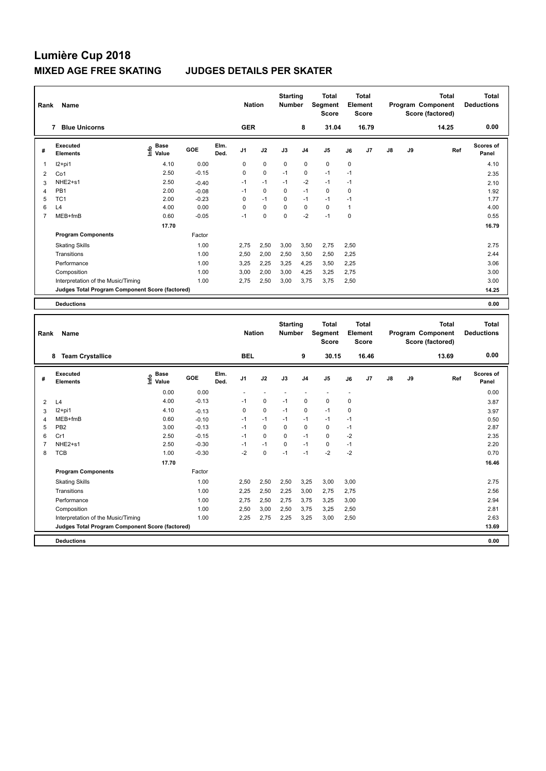| Rank           | <b>Name</b>                                     |                              |         |              | <b>Nation</b>  |             | <b>Starting</b><br><b>Number</b> |                | <b>Total</b><br>Segment<br><b>Score</b> |      | <b>Total</b><br>Element<br><b>Score</b> |               |    | <b>Total</b><br>Program Component<br>Score (factored) | Total<br><b>Deductions</b> |
|----------------|-------------------------------------------------|------------------------------|---------|--------------|----------------|-------------|----------------------------------|----------------|-----------------------------------------|------|-----------------------------------------|---------------|----|-------------------------------------------------------|----------------------------|
|                | <b>Blue Unicorns</b><br>7                       |                              |         |              | <b>GER</b>     |             |                                  | 8              | 31.04                                   |      | 16.79                                   |               |    | 14.25                                                 | 0.00                       |
| #              | Executed<br><b>Elements</b>                     | <b>Base</b><br>lnfo<br>Value | GOE     | Elm.<br>Ded. | J <sub>1</sub> | J2          | J3                               | J <sub>4</sub> | J <sub>5</sub>                          | J6   | J7                                      | $\mathsf{J}8$ | J9 | Ref                                                   | <b>Scores of</b><br>Panel  |
| $\mathbf{1}$   | I2+pi1                                          | 4.10                         | 0.00    |              | 0              | $\mathbf 0$ | $\mathbf 0$                      | $\mathbf 0$    | $\mathbf 0$                             | 0    |                                         |               |    |                                                       | 4.10                       |
| 2              | Co1                                             | 2.50                         | $-0.15$ |              | 0              | $\mathbf 0$ | $-1$                             | $\mathbf 0$    | $-1$                                    | $-1$ |                                         |               |    |                                                       | 2.35                       |
| 3              | NHE2+s1                                         | 2.50                         | $-0.40$ |              | $-1$           | $-1$        | $-1$                             | $-2$           | $-1$                                    | $-1$ |                                         |               |    |                                                       | 2.10                       |
| $\overline{4}$ | PB <sub>1</sub>                                 | 2.00                         | $-0.08$ |              | $-1$           | 0           | 0                                | $-1$           | 0                                       | 0    |                                         |               |    |                                                       | 1.92                       |
| 5              | TC <sub>1</sub>                                 | 2.00                         | $-0.23$ |              | 0              | $-1$        | $\Omega$                         | $-1$           | $-1$                                    | $-1$ |                                         |               |    |                                                       | 1.77                       |
| 6              | L4                                              | 4.00                         | 0.00    |              | 0              | $\mathbf 0$ | $\Omega$                         | $\mathbf 0$    | $\mathbf 0$                             | 1    |                                         |               |    |                                                       | 4.00                       |
| 7              | MEB+fmB                                         | 0.60                         | $-0.05$ |              | $-1$           | $\pmb{0}$   | $\mathbf 0$                      | $-2$           | $-1$                                    | 0    |                                         |               |    |                                                       | 0.55                       |
|                |                                                 | 17.70                        |         |              |                |             |                                  |                |                                         |      |                                         |               |    |                                                       | 16.79                      |
|                | <b>Program Components</b>                       |                              | Factor  |              |                |             |                                  |                |                                         |      |                                         |               |    |                                                       |                            |
|                | <b>Skating Skills</b>                           |                              | 1.00    |              | 2.75           | 2,50        | 3,00                             | 3,50           | 2,75                                    | 2,50 |                                         |               |    |                                                       | 2.75                       |
|                | Transitions                                     |                              | 1.00    |              | 2,50           | 2,00        | 2,50                             | 3,50           | 2,50                                    | 2,25 |                                         |               |    |                                                       | 2.44                       |
|                | Performance                                     |                              | 1.00    |              | 3,25           | 2,25        | 3,25                             | 4,25           | 3,50                                    | 2,25 |                                         |               |    |                                                       | 3.06                       |
|                | Composition                                     |                              | 1.00    |              | 3.00           | 2,00        | 3,00                             | 4,25           | 3,25                                    | 2.75 |                                         |               |    |                                                       | 3.00                       |
|                | Interpretation of the Music/Timing              |                              | 1.00    |              | 2,75           | 2,50        | 3,00                             | 3,75           | 3,75                                    | 2,50 |                                         |               |    |                                                       | 3.00                       |
|                | Judges Total Program Component Score (factored) |                              |         |              |                |             |                                  |                |                                         |      |                                         |               |    |                                                       | 14.25                      |
|                | <b>Deductions</b>                               |                              |         |              |                |             |                                  |                |                                         |      |                                         |               |    |                                                       | 0.00                       |

| Rank | Name                                            |                                  |         |              | <b>Nation</b>  |             | <b>Starting</b><br><b>Number</b> |                | <b>Total</b><br>Segment<br><b>Score</b> | Element                  | <b>Total</b><br><b>Score</b> |               |    | <b>Total</b><br>Program Component<br>Score (factored) | <b>Total</b><br><b>Deductions</b> |
|------|-------------------------------------------------|----------------------------------|---------|--------------|----------------|-------------|----------------------------------|----------------|-----------------------------------------|--------------------------|------------------------------|---------------|----|-------------------------------------------------------|-----------------------------------|
|      | <b>Team Crystallice</b><br>8                    |                                  |         |              | <b>BEL</b>     |             |                                  | 9              | 30.15                                   |                          | 16.46                        |               |    | 13.69                                                 | 0.00                              |
| #    | Executed<br><b>Elements</b>                     | <b>Base</b><br>e Base<br>⊑ Value | GOE     | Elm.<br>Ded. | J <sub>1</sub> | J2          | J3                               | J <sub>4</sub> | J <sub>5</sub>                          | J6                       | J7                           | $\mathsf{J}8$ | J9 | Ref                                                   | <b>Scores of</b><br>Panel         |
|      |                                                 | 0.00                             | 0.00    |              |                |             |                                  |                | $\overline{\phantom{a}}$                | $\overline{\phantom{a}}$ |                              |               |    |                                                       | 0.00                              |
| 2    | L4                                              | 4.00                             | $-0.13$ |              | $-1$           | 0           | $-1$                             | 0              | $\mathbf 0$                             | 0                        |                              |               |    |                                                       | 3.87                              |
| 3    | $12+pi1$                                        | 4.10                             | $-0.13$ |              | 0              | $\mathbf 0$ | $-1$                             | $\mathbf 0$    | $-1$                                    | 0                        |                              |               |    |                                                       | 3.97                              |
| 4    | MEB+fmB                                         | 0.60                             | $-0.10$ |              | $-1$           | $-1$        | $-1$                             | $-1$           | $-1$                                    | $-1$                     |                              |               |    |                                                       | 0.50                              |
| 5    | PB <sub>2</sub>                                 | 3.00                             | $-0.13$ |              | $-1$           | 0           | 0                                | 0              | 0                                       | $-1$                     |                              |               |    |                                                       | 2.87                              |
| 6    | Cr1                                             | 2.50                             | $-0.15$ |              | $-1$           | $\mathbf 0$ | 0                                | $-1$           | $\mathbf 0$                             | $-2$                     |                              |               |    |                                                       | 2.35                              |
|      | NHE2+s1                                         | 2.50                             | $-0.30$ |              | $-1$           | $-1$        | 0                                | $-1$           | 0                                       | $-1$                     |                              |               |    |                                                       | 2.20                              |
| 8    | <b>TCB</b>                                      | 1.00                             | $-0.30$ |              | $-2$           | $\pmb{0}$   | $-1$                             | $-1$           | $-2$                                    | $-2$                     |                              |               |    |                                                       | 0.70                              |
|      |                                                 | 17.70                            |         |              |                |             |                                  |                |                                         |                          |                              |               |    |                                                       | 16.46                             |
|      | <b>Program Components</b>                       |                                  | Factor  |              |                |             |                                  |                |                                         |                          |                              |               |    |                                                       |                                   |
|      | <b>Skating Skills</b>                           |                                  | 1.00    |              | 2,50           | 2,50        | 2,50                             | 3,25           | 3,00                                    | 3,00                     |                              |               |    |                                                       | 2.75                              |
|      | Transitions                                     |                                  | 1.00    |              | 2,25           | 2,50        | 2,25                             | 3,00           | 2,75                                    | 2,75                     |                              |               |    |                                                       | 2.56                              |
|      | Performance                                     |                                  | 1.00    |              | 2,75           | 2,50        | 2,75                             | 3,75           | 3,25                                    | 3,00                     |                              |               |    |                                                       | 2.94                              |
|      | Composition                                     |                                  | 1.00    |              | 2,50           | 3,00        | 2,50                             | 3,75           | 3,25                                    | 2,50                     |                              |               |    |                                                       | 2.81                              |
|      | Interpretation of the Music/Timing              |                                  | 1.00    |              | 2,25           | 2,75        | 2,25                             | 3,25           | 3,00                                    | 2,50                     |                              |               |    |                                                       | 2.63                              |
|      | Judges Total Program Component Score (factored) |                                  |         |              |                |             |                                  |                |                                         |                          |                              |               |    |                                                       | 13.69                             |
|      | <b>Deductions</b>                               |                                  |         |              |                |             |                                  |                |                                         |                          |                              |               |    |                                                       | 0.00                              |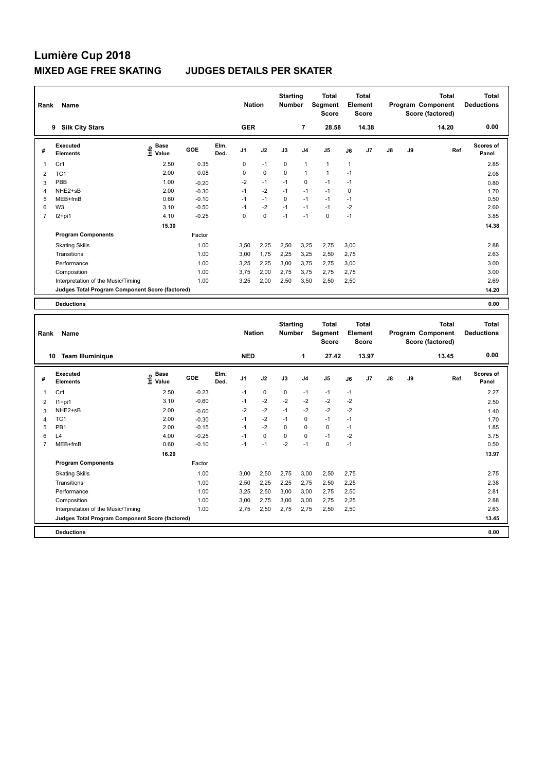| Rank           | Name                                            |                              |         |              | <b>Nation</b>  |             | <b>Starting</b><br><b>Number</b> |                | <b>Total</b><br>Segment<br><b>Score</b> |              | <b>Total</b><br>Element<br><b>Score</b> |               |    | <b>Total</b><br>Program Component<br>Score (factored) | <b>Total</b><br><b>Deductions</b> |
|----------------|-------------------------------------------------|------------------------------|---------|--------------|----------------|-------------|----------------------------------|----------------|-----------------------------------------|--------------|-----------------------------------------|---------------|----|-------------------------------------------------------|-----------------------------------|
|                | <b>Silk City Stars</b><br>9                     |                              |         |              | <b>GER</b>     |             |                                  | 7              | 28.58                                   |              | 14.38                                   |               |    | 14.20                                                 | 0.00                              |
| #              | Executed<br><b>Elements</b>                     | <b>Base</b><br>lnfo<br>Value | GOE     | Elm.<br>Ded. | J <sub>1</sub> | J2          | J3                               | J <sub>4</sub> | J <sub>5</sub>                          | J6           | J <sub>7</sub>                          | $\mathsf{J}8$ | J9 | Ref                                                   | <b>Scores of</b><br>Panel         |
| 1              | Cr1                                             | 2.50                         | 0.35    |              | 0              | $-1$        | $\mathbf 0$                      | $\overline{1}$ | $\mathbf{1}$                            | $\mathbf{1}$ |                                         |               |    |                                                       | 2.85                              |
| 2              | TC <sub>1</sub>                                 | 2.00                         | 0.08    |              | $\Omega$       | $\mathbf 0$ | $\mathbf 0$                      | $\overline{1}$ | $\overline{1}$                          | $-1$         |                                         |               |    |                                                       | 2.08                              |
| 3              | PBB                                             | 1.00                         | $-0.20$ |              | $-2$           | $-1$        | $-1$                             | $\mathbf 0$    | $-1$                                    | $-1$         |                                         |               |    |                                                       | 0.80                              |
| 4              | NHE2+sB                                         | 2.00                         | $-0.30$ |              | $-1$           | $-2$        | $-1$                             | $-1$           | $-1$                                    | $\mathbf 0$  |                                         |               |    |                                                       | 1.70                              |
| 5              | MEB+fmB                                         | 0.60                         | $-0.10$ |              | $-1$           | $-1$        | 0                                | $-1$           | $-1$                                    | $-1$         |                                         |               |    |                                                       | 0.50                              |
| 6              | W <sub>3</sub>                                  | 3.10                         | $-0.50$ |              | $-1$           | $-2$        | $-1$                             | $-1$           | $-1$                                    | $-2$         |                                         |               |    |                                                       | 2.60                              |
| $\overline{7}$ | $12+pi1$                                        | 4.10                         | $-0.25$ |              | 0              | $\mathbf 0$ | $-1$                             | $-1$           | 0                                       | $-1$         |                                         |               |    |                                                       | 3.85                              |
|                |                                                 | 15.30                        |         |              |                |             |                                  |                |                                         |              |                                         |               |    |                                                       | 14.38                             |
|                | <b>Program Components</b>                       |                              | Factor  |              |                |             |                                  |                |                                         |              |                                         |               |    |                                                       |                                   |
|                | <b>Skating Skills</b>                           |                              | 1.00    |              | 3,50           | 2,25        | 2,50                             | 3,25           | 2,75                                    | 3,00         |                                         |               |    |                                                       | 2.88                              |
|                | Transitions                                     |                              | 1.00    |              | 3.00           | 1.75        | 2,25                             | 3,25           | 2,50                                    | 2.75         |                                         |               |    |                                                       | 2.63                              |
|                | Performance                                     |                              | 1.00    |              | 3.25           | 2,25        | 3,00                             | 3.75           | 2,75                                    | 3,00         |                                         |               |    |                                                       | 3.00                              |
|                | Composition                                     |                              | 1.00    |              | 3.75           | 2,00        | 2.75                             | 3.75           | 2,75                                    | 2.75         |                                         |               |    |                                                       | 3.00                              |
|                | Interpretation of the Music/Timing              |                              | 1.00    |              | 3,25           | 2,00        | 2,50                             | 3,50           | 2,50                                    | 2,50         |                                         |               |    |                                                       | 2.69                              |
|                | Judges Total Program Component Score (factored) |                              |         |              |                |             |                                  |                |                                         |              |                                         |               |    |                                                       | 14.20                             |
|                | <b>Deductions</b>                               |                              |         |              |                |             |                                  |                |                                         |              |                                         |               |    |                                                       | 0.00                              |

| Rank           | Name                                            |                              |         |              | <b>Nation</b>  |             | <b>Starting</b><br><b>Number</b> |                | <b>Total</b><br>Segment<br><b>Score</b> |      | <b>Total</b><br>Element<br><b>Score</b> |               |    | <b>Total</b><br>Program Component<br>Score (factored) | Total<br><b>Deductions</b> |
|----------------|-------------------------------------------------|------------------------------|---------|--------------|----------------|-------------|----------------------------------|----------------|-----------------------------------------|------|-----------------------------------------|---------------|----|-------------------------------------------------------|----------------------------|
| 10             | <b>Team Illuminique</b>                         |                              |         |              | <b>NED</b>     |             |                                  | 1              | 27.42                                   |      | 13.97                                   |               |    | 13.45                                                 | 0.00                       |
| #              | Executed<br><b>Elements</b>                     | <b>Base</b><br>lnfo<br>Value | GOE     | Elm.<br>Ded. | J <sub>1</sub> | J2          | J3                               | J <sub>4</sub> | J <sub>5</sub>                          | J6   | J7                                      | $\mathsf{J}8$ | J9 | Ref                                                   | <b>Scores of</b><br>Panel  |
| $\mathbf{1}$   | Cr1                                             | 2.50                         | $-0.23$ |              | $-1$           | $\mathbf 0$ | $\mathbf 0$                      | $-1$           | $-1$                                    | $-1$ |                                         |               |    |                                                       | 2.27                       |
| 2              | $11+pi1$                                        | 3.10                         | $-0.60$ |              | $-1$           | $-2$        | $-2$                             | $-2$           | $-2$                                    | $-2$ |                                         |               |    |                                                       | 2.50                       |
| 3              | NHE2+sB                                         | 2.00                         | $-0.60$ |              | $-2$           | $-2$        | $-1$                             | $-2$           | $-2$                                    | $-2$ |                                         |               |    |                                                       | 1.40                       |
| $\overline{4}$ | TC <sub>1</sub>                                 | 2.00                         | $-0.30$ |              | $-1$           | $-2$        | $-1$                             | $\mathbf 0$    | $-1$                                    | $-1$ |                                         |               |    |                                                       | 1.70                       |
| 5              | PB <sub>1</sub>                                 | 2.00                         | $-0.15$ |              | $-1$           | $-2$        | 0                                | 0              | $\mathbf 0$                             | $-1$ |                                         |               |    |                                                       | 1.85                       |
| 6              | L4                                              | 4.00                         | $-0.25$ |              | $-1$           | $\mathbf 0$ | 0                                | 0              | $-1$                                    | $-2$ |                                         |               |    |                                                       | 3.75                       |
| 7              | MEB+fmB                                         | 0.60                         | $-0.10$ |              | -1             | $-1$        | $-2$                             | $-1$           | $\pmb{0}$                               | $-1$ |                                         |               |    |                                                       | 0.50                       |
|                |                                                 | 16.20                        |         |              |                |             |                                  |                |                                         |      |                                         |               |    |                                                       | 13.97                      |
|                | <b>Program Components</b>                       |                              | Factor  |              |                |             |                                  |                |                                         |      |                                         |               |    |                                                       |                            |
|                | <b>Skating Skills</b>                           |                              | 1.00    |              | 3,00           | 2,50        | 2,75                             | 3,00           | 2,50                                    | 2,75 |                                         |               |    |                                                       | 2.75                       |
|                | Transitions                                     |                              | 1.00    |              | 2,50           | 2,25        | 2,25                             | 2,75           | 2,50                                    | 2,25 |                                         |               |    |                                                       | 2.38                       |
|                | Performance                                     |                              | 1.00    |              | 3,25           | 2,50        | 3,00                             | 3,00           | 2,75                                    | 2,50 |                                         |               |    |                                                       | 2.81                       |
|                | Composition                                     |                              | 1.00    |              | 3,00           | 2,75        | 3,00                             | 3,00           | 2,75                                    | 2,25 |                                         |               |    |                                                       | 2.88                       |
|                | Interpretation of the Music/Timing              |                              | 1.00    |              | 2,75           | 2,50        | 2,75                             | 2,75           | 2,50                                    | 2,50 |                                         |               |    |                                                       | 2.63                       |
|                | Judges Total Program Component Score (factored) |                              |         |              |                |             |                                  |                |                                         |      |                                         |               |    |                                                       | 13.45                      |
|                | <b>Deductions</b>                               |                              |         |              |                |             |                                  |                |                                         |      |                                         |               |    |                                                       | 0.00                       |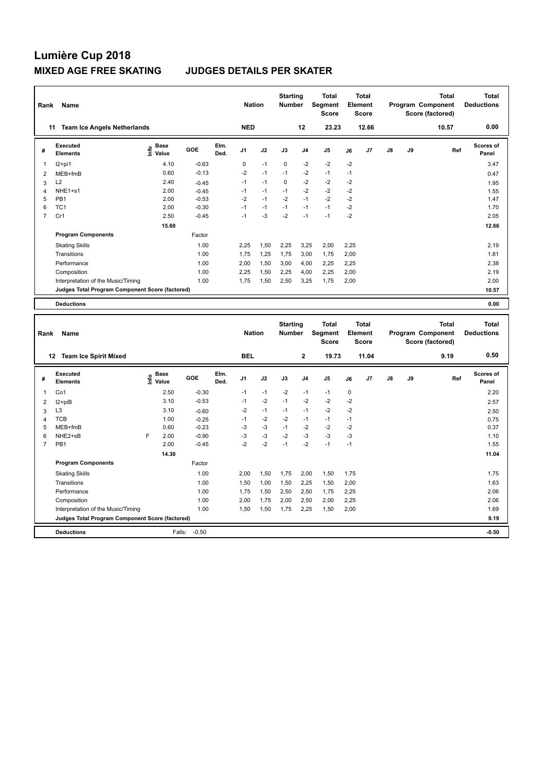| Rank           | Name                                            |                              |         |              | <b>Nation</b>  |      | <b>Starting</b><br><b>Number</b> |                | <b>Total</b><br>Segment<br><b>Score</b> |      | <b>Total</b><br>Element<br><b>Score</b> |               |    | <b>Total</b><br>Program Component<br>Score (factored) | Total<br><b>Deductions</b> |
|----------------|-------------------------------------------------|------------------------------|---------|--------------|----------------|------|----------------------------------|----------------|-----------------------------------------|------|-----------------------------------------|---------------|----|-------------------------------------------------------|----------------------------|
| 11             | <b>Team Ice Angels Netherlands</b>              |                              |         |              | <b>NED</b>     |      |                                  | 12             | 23.23                                   |      | 12.66                                   |               |    | 10.57                                                 | 0.00                       |
| #              | Executed<br><b>Elements</b>                     | <b>Base</b><br>١nfo<br>Value | GOE     | Elm.<br>Ded. | J <sub>1</sub> | J2   | J3                               | J <sub>4</sub> | J5                                      | J6   | J <sub>7</sub>                          | $\mathsf{J}8$ | J9 | Ref                                                   | Scores of<br>Panel         |
| 1              | $12+pi1$                                        | 4.10                         | $-0.63$ |              | 0              | $-1$ | 0                                | $-2$           | $-2$                                    | $-2$ |                                         |               |    |                                                       | 3.47                       |
| $\overline{2}$ | MEB+fmB                                         | 0.60                         | $-0.13$ |              | $-2$           | $-1$ | $-1$                             | $-2$           | $-1$                                    | $-1$ |                                         |               |    |                                                       | 0.47                       |
| 3              | L2                                              | 2.40                         | $-0.45$ |              | $-1$           | $-1$ | $\Omega$                         | $-2$           | $-2$                                    | $-2$ |                                         |               |    |                                                       | 1.95                       |
| 4              | NHE1+s1                                         | 2.00                         | $-0.45$ |              | $-1$           | $-1$ | $-1$                             | $-2$           | $-2$                                    | $-2$ |                                         |               |    |                                                       | 1.55                       |
| 5              | PB <sub>1</sub>                                 | 2.00                         | $-0.53$ |              | $-2$           | $-1$ | $-2$                             | $-1$           | $-2$                                    | $-2$ |                                         |               |    |                                                       | 1.47                       |
| 6              | TC <sub>1</sub>                                 | 2.00                         | $-0.30$ |              | $-1$           | $-1$ | $-1$                             | $-1$           | $-1$                                    | $-2$ |                                         |               |    |                                                       | 1.70                       |
| $\overline{7}$ | Cr1                                             | 2.50                         | $-0.45$ |              | $-1$           | $-3$ | $-2$                             | $-1$           | $-1$                                    | $-2$ |                                         |               |    |                                                       | 2.05                       |
|                |                                                 | 15.60                        |         |              |                |      |                                  |                |                                         |      |                                         |               |    |                                                       | 12.66                      |
|                | <b>Program Components</b>                       |                              | Factor  |              |                |      |                                  |                |                                         |      |                                         |               |    |                                                       |                            |
|                | <b>Skating Skills</b>                           |                              | 1.00    |              | 2.25           | 1,50 | 2,25                             | 3,25           | 2,00                                    | 2,25 |                                         |               |    |                                                       | 2.19                       |
|                | Transitions                                     |                              | 1.00    |              | 1.75           | 1,25 | 1,75                             | 3,00           | 1,75                                    | 2,00 |                                         |               |    |                                                       | 1.81                       |
|                | Performance                                     |                              | 1.00    |              | 2.00           | 1.50 | 3.00                             | 4,00           | 2,25                                    | 2,25 |                                         |               |    |                                                       | 2.38                       |
|                | Composition                                     |                              | 1.00    |              | 2,25           | 1,50 | 2,25                             | 4,00           | 2,25                                    | 2,00 |                                         |               |    |                                                       | 2.19                       |
|                | Interpretation of the Music/Timing              |                              | 1.00    |              | 1.75           | 1,50 | 2,50                             | 3,25           | 1.75                                    | 2.00 |                                         |               |    |                                                       | 2.00                       |
|                | Judges Total Program Component Score (factored) |                              |         |              |                |      |                                  |                |                                         |      |                                         |               |    |                                                       | 10.57                      |
|                | <b>Deductions</b>                               |                              |         |              |                |      |                                  |                |                                         |      |                                         |               |    |                                                       | 0.00                       |

| Rank           | <b>Name</b>                                     |      |                      |         |              | <b>Nation</b>  |      | <b>Starting</b><br><b>Number</b> |                | <b>Total</b><br>Segment<br><b>Score</b> | Element | <b>Total</b><br><b>Score</b> |               |    | Total<br>Program Component<br>Score (factored) | <b>Total</b><br><b>Deductions</b> |
|----------------|-------------------------------------------------|------|----------------------|---------|--------------|----------------|------|----------------------------------|----------------|-----------------------------------------|---------|------------------------------|---------------|----|------------------------------------------------|-----------------------------------|
|                | 12<br><b>Team Ice Spirit Mixed</b>              |      |                      |         |              | <b>BEL</b>     |      |                                  | $\overline{2}$ | 19.73                                   |         | 11.04                        |               |    | 9.19                                           | 0.50                              |
| #              | Executed<br><b>Elements</b>                     | lnfo | <b>Base</b><br>Value | GOE     | Elm.<br>Ded. | J <sub>1</sub> | J2   | J3                               | J <sub>4</sub> | J <sub>5</sub>                          | J6      | J7                           | $\mathsf{J}8$ | J9 | Ref                                            | <b>Scores of</b><br>Panel         |
| 1              | Co1                                             |      | 2.50                 | $-0.30$ |              | $-1$           | $-1$ | $-2$                             | $-1$           | $-1$                                    | 0       |                              |               |    |                                                | 2.20                              |
| 2              | I2+piB                                          |      | 3.10                 | $-0.53$ |              | $-1$           | $-2$ | $-1$                             | $-2$           | $-2$                                    | $-2$    |                              |               |    |                                                | 2.57                              |
| 3              | L <sub>3</sub>                                  |      | 3.10                 | $-0.60$ |              | $-2$           | $-1$ | $-1$                             | $-1$           | $-2$                                    | $-2$    |                              |               |    |                                                | 2.50                              |
| 4              | <b>TCB</b>                                      |      | 1.00                 | $-0.25$ |              | $-1$           | $-2$ | $-2$                             | $-1$           | $-1$                                    | $-1$    |                              |               |    |                                                | 0.75                              |
| 5              | MEB+fmB                                         |      | 0.60                 | $-0.23$ |              | -3             | $-3$ | $-1$                             | $-2$           | $-2$                                    | $-2$    |                              |               |    |                                                | 0.37                              |
| 6              | NHE2+sB                                         | F    | 2.00                 | $-0.90$ |              | -3             | $-3$ | $-2$                             | $-3$           | $-3$                                    | $-3$    |                              |               |    |                                                | 1.10                              |
| $\overline{7}$ | PB <sub>1</sub>                                 |      | 2.00                 | $-0.45$ |              | $-2$           | $-2$ | $-1$                             | $-2$           | $-1$                                    | $-1$    |                              |               |    |                                                | 1.55                              |
|                |                                                 |      | 14.30                |         |              |                |      |                                  |                |                                         |         |                              |               |    |                                                | 11.04                             |
|                | <b>Program Components</b>                       |      |                      | Factor  |              |                |      |                                  |                |                                         |         |                              |               |    |                                                |                                   |
|                | <b>Skating Skills</b>                           |      |                      | 1.00    |              | 2,00           | 1,50 | 1,75                             | 2,00           | 1,50                                    | 1,75    |                              |               |    |                                                | 1.75                              |
|                | Transitions                                     |      |                      | 1.00    |              | 1,50           | 1,00 | 1,50                             | 2,25           | 1,50                                    | 2,00    |                              |               |    |                                                | 1.63                              |
|                | Performance                                     |      |                      | 1.00    |              | 1,75           | 1,50 | 2,50                             | 2,50           | 1,75                                    | 2,25    |                              |               |    |                                                | 2.06                              |
|                | Composition                                     |      |                      | 1.00    |              | 2,00           | 1,75 | 2,00                             | 2,50           | 2,00                                    | 2,25    |                              |               |    |                                                | 2.06                              |
|                | Interpretation of the Music/Timing              |      |                      | 1.00    |              | 1,50           | 1,50 | 1,75                             | 2,25           | 1,50                                    | 2,00    |                              |               |    |                                                | 1.69                              |
|                | Judges Total Program Component Score (factored) |      |                      |         |              |                |      |                                  |                |                                         |         |                              |               |    |                                                | 9.19                              |
|                | <b>Deductions</b>                               |      | Falls:               | $-0.50$ |              |                |      |                                  |                |                                         |         |                              |               |    |                                                | $-0.50$                           |